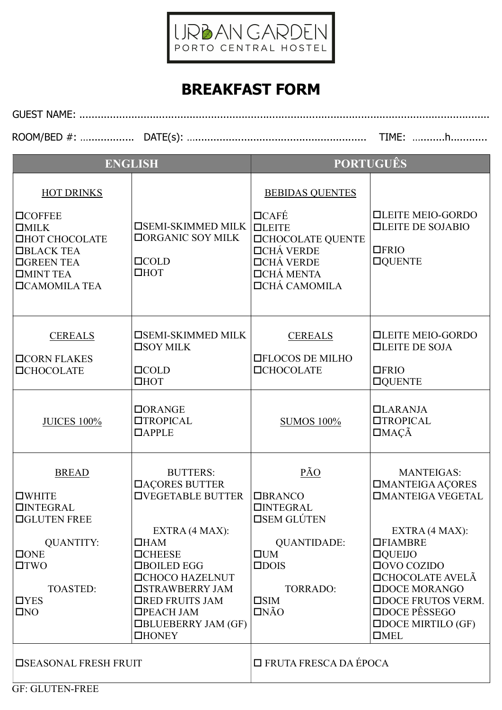

## BREAKFAST FORM

GUEST NAME: ...................................................................................................................................... ROOM/BED #: …............... DATE(s): …........................................................ TIME: …........h............

| <b>ENGLISH</b>                                                                                                                                                                   |                                                                                                                                                                                                                                                                                  | <b>PORTUGUÊS</b>                                                                                                                                                          |                                                                                                                                                                                                                                                                                                          |
|----------------------------------------------------------------------------------------------------------------------------------------------------------------------------------|----------------------------------------------------------------------------------------------------------------------------------------------------------------------------------------------------------------------------------------------------------------------------------|---------------------------------------------------------------------------------------------------------------------------------------------------------------------------|----------------------------------------------------------------------------------------------------------------------------------------------------------------------------------------------------------------------------------------------------------------------------------------------------------|
| <b>HOT DRINKS</b><br><b>OCOFFEE</b><br>$\Box$ MILK<br><b>OHOT CHOCOLATE</b><br><b>□BLACK TEA</b><br><b>OGREEN TEA</b><br><b>OMINT TEA</b><br><b>OCAMOMILA TEA</b>                | <b>OSEMI-SKIMMED MILK</b><br><b>DORGANIC SOY MILK</b><br>$\Box$ COLD<br>$\Box$ <b>HOT</b>                                                                                                                                                                                        | <b>BEBIDAS QUENTES</b><br>$\Box$ CAFÉ<br><b>OLEITE</b><br><b>OCHOCOLATE QUENTE</b><br><b>□CHÁ VERDE</b><br><b>□CHÁ VERDE</b><br><b>OCHÁ MENTA</b><br><b>DCHÁ CAMOMILA</b> | <b>QLEITE MEIO-GORDO</b><br><b>QLEITE DE SOJABIO</b><br>$\Box$ FRIO<br><b>OQUENTE</b>                                                                                                                                                                                                                    |
| <b>CEREALS</b><br><b>OCORN FLAKES</b><br><b>OCHOCOLATE</b>                                                                                                                       | <b>OSEMI-SKIMMED MILK</b><br>$\square$ SOY MILK<br>$\Box$ COLD<br>$\Box$ HOT                                                                                                                                                                                                     | <b>CEREALS</b><br><b>OFLOCOS DE MILHO</b><br><b>OCHOCOLATE</b>                                                                                                            | <b>QLEITE MEIO-GORDO</b><br><b>QLEITE DE SOJA</b><br>$\Box$ FRIO<br><b>OQUENTE</b>                                                                                                                                                                                                                       |
| <b>JUICES 100%</b>                                                                                                                                                               | DORANGE<br><b>TROPICAL</b><br>$\Box$ APPLE                                                                                                                                                                                                                                       | <b>SUMOS 100%</b>                                                                                                                                                         | $LLARANJA$<br><b>OTROPICAL</b><br>$\Box$ MAÇÃ                                                                                                                                                                                                                                                            |
| <b>BREAD</b><br>$\square$ WHITE<br>$\Box$ <b>NTEGRAL</b><br><b>OGLUTEN FREE</b><br><b>QUANTITY:</b><br>$\Box$ ONE<br>$\Box TWO$<br><b>TOASTED:</b><br>$\Box$ YES<br>$\square$ NO | <b>BUTTERS:</b><br><b>DAÇORES BUTTER</b><br><b>OVEGETABLE BUTTER</b><br>EXTRA (4 MAX):<br>$\Box$ HAM<br><b>OCHEESE</b><br>□BOILED EGG<br><b>OCHOCO HAZELNUT</b><br><b>OSTRAWBERRY JAM</b><br><b>ORED FRUITS JAM</b><br>□PEACH JAM<br><b>OBLUEBERRY JAM (GF)</b><br><b>OHONEY</b> | PÃO<br><b>OBRANCO</b><br>$\Box$ <b>NTEGRAL</b><br><b>OSEM GLÚTEN</b><br><b>QUANTIDADE:</b><br>UUM<br>$\square$ DOIS<br><b>TORRADO:</b><br>$\square$ SIM<br>INÃO           | <b>MANTEIGAS:</b><br><b>IMANTEIGA AÇORES</b><br><b><i>OMANTEIGA VEGETAL</i></b><br>EXTRA (4 MAX):<br><b>OFIAMBRE</b><br>$\Box$ QUEIJO<br>$\Box$ OVO COZIDO<br><b>DCHOCOLATE AVELÃ</b><br><b>ODOCE MORANGO</b><br><b>ODOCE FRUTOS VERM.</b><br>□DOCE PÊSSEGO<br>$\square$ DOCE MIRTILO (GF)<br>$\Box$ MEL |
| <b>OSEASONAL FRESH FRUIT</b>                                                                                                                                                     |                                                                                                                                                                                                                                                                                  | □ FRUTA FRESCA DA ÉPOCA                                                                                                                                                   |                                                                                                                                                                                                                                                                                                          |

GF: GLUTEN-FREE